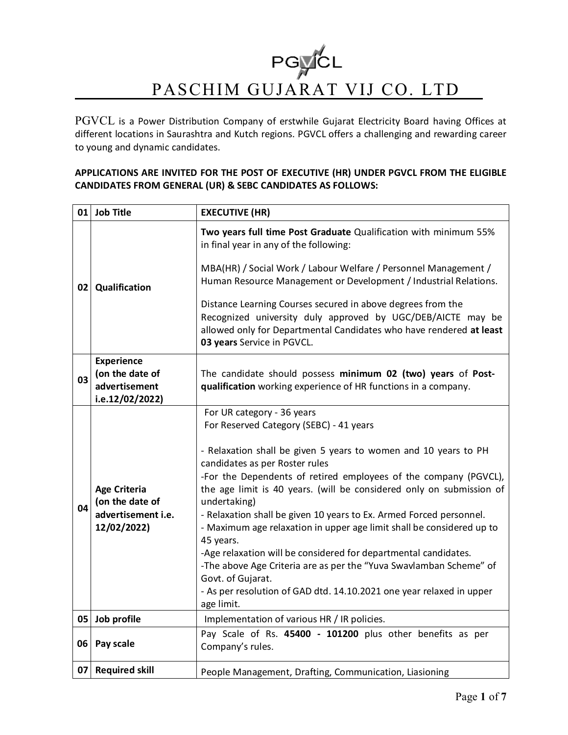# PGYCL PASCHIM GUJARAT VIJ CO. LTD

PGVCL is a Power Distribution Company of erstwhile Gujarat Electricity Board having Offices at different locations in Saurashtra and Kutch regions. PGVCL offers a challenging and rewarding career to young and dynamic candidates.

### **APPLICATIONS ARE INVITED FOR THE POST OF EXECUTIVE (HR) UNDER PGVCL FROM THE ELIGIBLE CANDIDATES FROM GENERAL (UR) & SEBC CANDIDATES AS FOLLOWS:**

| 01 | <b>Job Title</b>                                                            | <b>EXECUTIVE (HR)</b>                                                                                                                                                                                                                                                                                                                                                                                                                                                                                                                                                                                                                                                                                                                                   |
|----|-----------------------------------------------------------------------------|---------------------------------------------------------------------------------------------------------------------------------------------------------------------------------------------------------------------------------------------------------------------------------------------------------------------------------------------------------------------------------------------------------------------------------------------------------------------------------------------------------------------------------------------------------------------------------------------------------------------------------------------------------------------------------------------------------------------------------------------------------|
| 02 | Qualification                                                               | Two years full time Post Graduate Qualification with minimum 55%<br>in final year in any of the following:<br>MBA(HR) / Social Work / Labour Welfare / Personnel Management /<br>Human Resource Management or Development / Industrial Relations.<br>Distance Learning Courses secured in above degrees from the<br>Recognized university duly approved by UGC/DEB/AICTE may be<br>allowed only for Departmental Candidates who have rendered at least<br>03 years Service in PGVCL.                                                                                                                                                                                                                                                                    |
|    | <b>Experience</b>                                                           |                                                                                                                                                                                                                                                                                                                                                                                                                                                                                                                                                                                                                                                                                                                                                         |
| 03 | (on the date of                                                             | The candidate should possess minimum 02 (two) years of Post-                                                                                                                                                                                                                                                                                                                                                                                                                                                                                                                                                                                                                                                                                            |
|    | advertisement                                                               | qualification working experience of HR functions in a company.                                                                                                                                                                                                                                                                                                                                                                                                                                                                                                                                                                                                                                                                                          |
|    | i.e.12/02/2022)                                                             |                                                                                                                                                                                                                                                                                                                                                                                                                                                                                                                                                                                                                                                                                                                                                         |
| 04 | <b>Age Criteria</b><br>(on the date of<br>advertisement i.e.<br>12/02/2022) | For UR category - 36 years<br>For Reserved Category (SEBC) - 41 years<br>- Relaxation shall be given 5 years to women and 10 years to PH<br>candidates as per Roster rules<br>-For the Dependents of retired employees of the company (PGVCL),<br>the age limit is 40 years. (will be considered only on submission of<br>undertaking)<br>- Relaxation shall be given 10 years to Ex. Armed Forced personnel.<br>- Maximum age relaxation in upper age limit shall be considered up to<br>45 years.<br>-Age relaxation will be considered for departmental candidates.<br>-The above Age Criteria are as per the "Yuva Swavlamban Scheme" of<br>Govt. of Gujarat.<br>- As per resolution of GAD dtd. 14.10.2021 one year relaxed in upper<br>age limit. |
| 05 | Job profile                                                                 | Implementation of various HR / IR policies.                                                                                                                                                                                                                                                                                                                                                                                                                                                                                                                                                                                                                                                                                                             |
| 06 | Pay scale                                                                   | Pay Scale of Rs. 45400 - 101200 plus other benefits as per<br>Company's rules.                                                                                                                                                                                                                                                                                                                                                                                                                                                                                                                                                                                                                                                                          |
| 07 | <b>Required skill</b>                                                       | People Management, Drafting, Communication, Liasioning                                                                                                                                                                                                                                                                                                                                                                                                                                                                                                                                                                                                                                                                                                  |
|    |                                                                             |                                                                                                                                                                                                                                                                                                                                                                                                                                                                                                                                                                                                                                                                                                                                                         |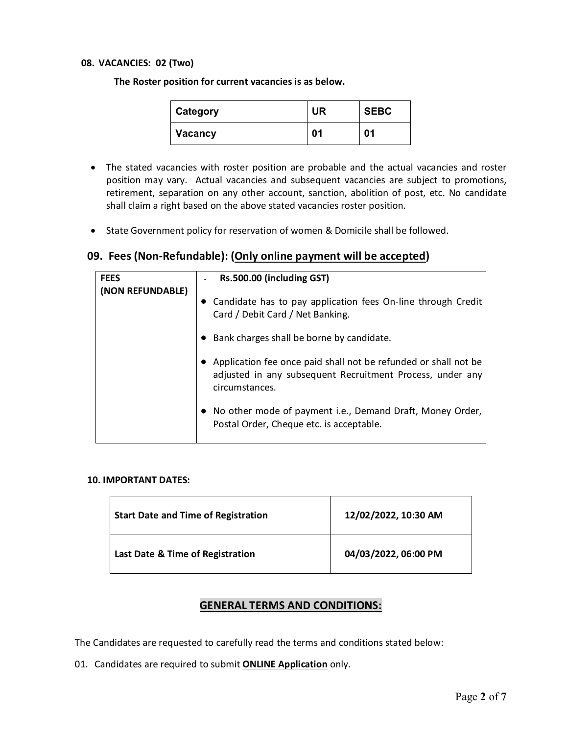#### **08. VACANCIES: 02 (Two)**

**The Roster position for current vacancies is as below.**

| Category | <b>UR</b> | <b>SEBC</b> |
|----------|-----------|-------------|
| Vacancy  | 01        | 01          |

- The stated vacancies with roster position are probable and the actual vacancies and roster position may vary. Actual vacancies and subsequent vacancies are subject to promotions, retirement, separation on any other account, sanction, abolition of post, etc. No candidate shall claim a right based on the above stated vacancies roster position.
- State Government policy for reservation of women & Domicile shall be followed.

# **09. Fees (Non-Refundable): (Only online payment will be accepted)**

| <b>FEES</b>      | Rs.500.00 (including GST)                                                                                                                      |
|------------------|------------------------------------------------------------------------------------------------------------------------------------------------|
| (NON REFUNDABLE) | • Candidate has to pay application fees On-line through Credit<br>Card / Debit Card / Net Banking.                                             |
|                  | Bank charges shall be borne by candidate.                                                                                                      |
|                  | Application fee once paid shall not be refunded or shall not be<br>adjusted in any subsequent Recruitment Process, under any<br>circumstances. |
|                  | • No other mode of payment i.e., Demand Draft, Money Order,<br>Postal Order, Cheque etc. is acceptable.                                        |

#### **10. IMPORTANT DATES:**

| <b>Start Date and Time of Registration</b> | 12/02/2022, 10:30 AM |
|--------------------------------------------|----------------------|
| Last Date & Time of Registration           | 04/03/2022, 06:00 PM |

## **GENERAL TERMS AND CONDITIONS:**

The Candidates are requested to carefully read the terms and conditions stated below:

01. Candidates are required to submit **ONLINE Application** only.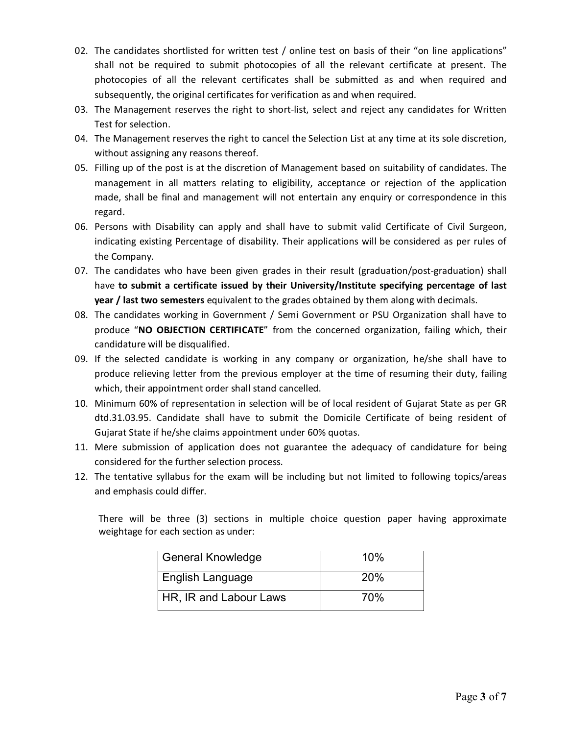- 02. The candidates shortlisted for written test / online test on basis of their "on line applications" shall not be required to submit photocopies of all the relevant certificate at present. The photocopies of all the relevant certificates shall be submitted as and when required and subsequently, the original certificates for verification as and when required.
- 03. The Management reserves the right to short-list, select and reject any candidates for Written Test for selection.
- 04. The Management reserves the right to cancel the Selection List at any time at its sole discretion, without assigning any reasons thereof.
- 05. Filling up of the post is at the discretion of Management based on suitability of candidates. The management in all matters relating to eligibility, acceptance or rejection of the application made, shall be final and management will not entertain any enquiry or correspondence in this regard.
- 06. Persons with Disability can apply and shall have to submit valid Certificate of Civil Surgeon, indicating existing Percentage of disability. Their applications will be considered as per rules of the Company.
- 07. The candidates who have been given grades in their result (graduation/post-graduation) shall have **to submit a certificate issued by their University/Institute specifying percentage of last year / last two semesters** equivalent to the grades obtained by them along with decimals.
- 08. The candidates working in Government / Semi Government or PSU Organization shall have to produce "**NO OBJECTION CERTIFICATE**" from the concerned organization, failing which, their candidature will be disqualified.
- 09. If the selected candidate is working in any company or organization, he/she shall have to produce relieving letter from the previous employer at the time of resuming their duty, failing which, their appointment order shall stand cancelled.
- 10. Minimum 60% of representation in selection will be of local resident of Gujarat State as per GR dtd.31.03.95. Candidate shall have to submit the Domicile Certificate of being resident of Gujarat State if he/she claims appointment under 60% quotas.
- 11. Mere submission of application does not guarantee the adequacy of candidature for being considered for the further selection process.
- 12. The tentative syllabus for the exam will be including but not limited to following topics/areas and emphasis could differ.

There will be three (3) sections in multiple choice question paper having approximate weightage for each section as under:

| General Knowledge             | 10%        |
|-------------------------------|------------|
| English Language              | <b>20%</b> |
| <b>HR, IR and Labour Laws</b> | <b>70%</b> |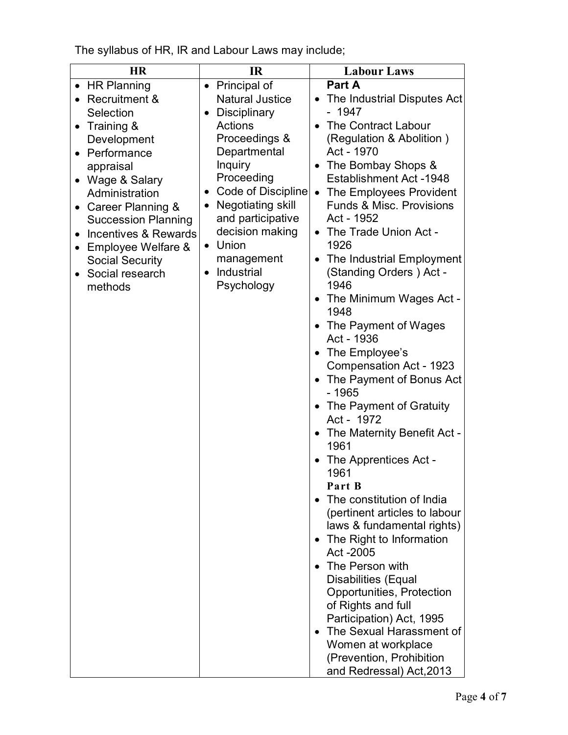The syllabus of HR, IR and Labour Laws may include;

| <b>HR</b>                                         | $_{\rm IR}$                  | <b>Labour Laws</b>                                          |  |
|---------------------------------------------------|------------------------------|-------------------------------------------------------------|--|
| • HR Planning                                     | Principal of<br>$\bullet$    | Part A                                                      |  |
| • Recruitment &                                   | <b>Natural Justice</b>       | • The Industrial Disputes Act                               |  |
| Selection                                         | Disciplinary<br>$\bullet$    | $-1947$                                                     |  |
| • Training $&$                                    | <b>Actions</b>               | The Contract Labour                                         |  |
| Development                                       | Proceedings &                | (Regulation & Abolition)                                    |  |
| • Performance                                     | Departmental                 | Act - 1970                                                  |  |
| appraisal                                         | <b>Inquiry</b><br>Proceeding | • The Bombay Shops &                                        |  |
| Wage & Salary<br>Administration                   | Code of Discipline           | <b>Establishment Act -1948</b><br>• The Employees Provident |  |
|                                                   | Negotiating skill            | <b>Funds &amp; Misc. Provisions</b>                         |  |
| • Career Planning &<br><b>Succession Planning</b> | and participative            | Act - 1952                                                  |  |
| Incentives & Rewards                              | decision making              | • The Trade Union Act -                                     |  |
| Employee Welfare &                                | Union<br>$\bullet$           | 1926                                                        |  |
| <b>Social Security</b>                            | management                   | The Industrial Employment<br>$\bullet$                      |  |
| • Social research                                 | Industrial                   | (Standing Orders) Act -                                     |  |
| methods                                           | Psychology                   | 1946                                                        |  |
|                                                   |                              | The Minimum Wages Act -<br>$\bullet$                        |  |
|                                                   |                              | 1948                                                        |  |
|                                                   |                              | • The Payment of Wages                                      |  |
|                                                   |                              | Act - 1936                                                  |  |
|                                                   |                              | The Employee's<br>$\bullet$                                 |  |
|                                                   |                              | Compensation Act - 1923<br>• The Payment of Bonus Act       |  |
|                                                   |                              | $-1965$                                                     |  |
|                                                   |                              | • The Payment of Gratuity<br>Act - 1972                     |  |
|                                                   |                              | • The Maternity Benefit Act -                               |  |
|                                                   |                              | 1961                                                        |  |
|                                                   |                              | The Apprentices Act -<br>1961                               |  |
|                                                   |                              | Part B                                                      |  |
|                                                   |                              | The constitution of India                                   |  |
|                                                   |                              | (pertinent articles to labour                               |  |
|                                                   |                              | laws & fundamental rights)                                  |  |
|                                                   |                              | The Right to Information<br>$\bullet$                       |  |
|                                                   |                              | Act -2005                                                   |  |
|                                                   |                              | • The Person with                                           |  |
|                                                   |                              | <b>Disabilities (Equal</b>                                  |  |
|                                                   |                              | Opportunities, Protection<br>of Rights and full             |  |
|                                                   |                              | Participation) Act, 1995                                    |  |
|                                                   |                              | The Sexual Harassment of<br>$\bullet$                       |  |
|                                                   |                              | Women at workplace                                          |  |
|                                                   |                              | (Prevention, Prohibition                                    |  |
|                                                   |                              | and Redressal) Act, 2013                                    |  |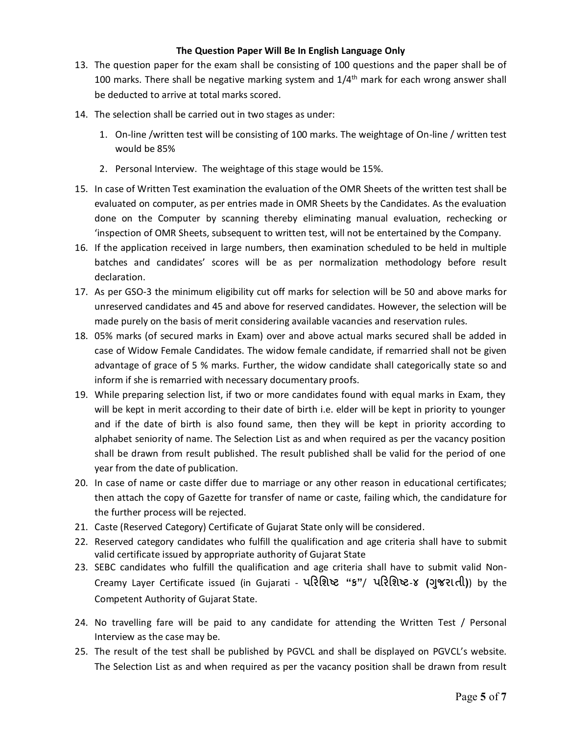#### **The Question Paper Will Be In English Language Only**

- 13. The question paper for the exam shall be consisting of 100 questions and the paper shall be of 100 marks. There shall be negative marking system and  $1/4<sup>th</sup>$  mark for each wrong answer shall be deducted to arrive at total marks scored.
- 14. The selection shall be carried out in two stages as under:
	- 1. On-line /written test will be consisting of 100 marks. The weightage of On-line / written test would be 85%
	- 2. Personal Interview. The weightage of this stage would be 15%.
- 15. In case of Written Test examination the evaluation of the OMR Sheets of the written test shall be evaluated on computer, as per entries made in OMR Sheets by the Candidates. As the evaluation done on the Computer by scanning thereby eliminating manual evaluation, rechecking or 'inspection of OMR Sheets, subsequent to written test, will not be entertained by the Company.
- 16. If the application received in large numbers, then examination scheduled to be held in multiple batches and candidates' scores will be as per normalization methodology before result declaration.
- 17. As per GSO-3 the minimum eligibility cut off marks for selection will be 50 and above marks for unreserved candidates and 45 and above for reserved candidates. However, the selection will be made purely on the basis of merit considering available vacancies and reservation rules.
- 18. 05% marks (of secured marks in Exam) over and above actual marks secured shall be added in case of Widow Female Candidates. The widow female candidate, if remarried shall not be given advantage of grace of 5 % marks. Further, the widow candidate shall categorically state so and inform if she is remarried with necessary documentary proofs.
- 19. While preparing selection list, if two or more candidates found with equal marks in Exam, they will be kept in merit according to their date of birth i.e. elder will be kept in priority to younger and if the date of birth is also found same, then they will be kept in priority according to alphabet seniority of name. The Selection List as and when required as per the vacancy position shall be drawn from result published. The result published shall be valid for the period of one year from the date of publication.
- 20. In case of name or caste differ due to marriage or any other reason in educational certificates; then attach the copy of Gazette for transfer of name or caste, failing which, the candidature for the further process will be rejected.
- 21. Caste (Reserved Category) Certificate of Gujarat State only will be considered.
- 22. Reserved category candidates who fulfill the qualification and age criteria shall have to submit valid certificate issued by appropriate authority of Gujarat State
- 23. SEBC candidates who fulfill the qualification and age criteria shall have to submit valid Non-Creamy Layer Certificate issued (in Gujarati - **પરિશƧટ "ક"**/ **પરિશƧટ**-**૪ (Ȥુજરાતી)**) by the Competent Authority of Gujarat State.
- 24. No travelling fare will be paid to any candidate for attending the Written Test / Personal Interview as the case may be.
- 25. The result of the test shall be published by PGVCL and shall be displayed on PGVCL's website. The Selection List as and when required as per the vacancy position shall be drawn from result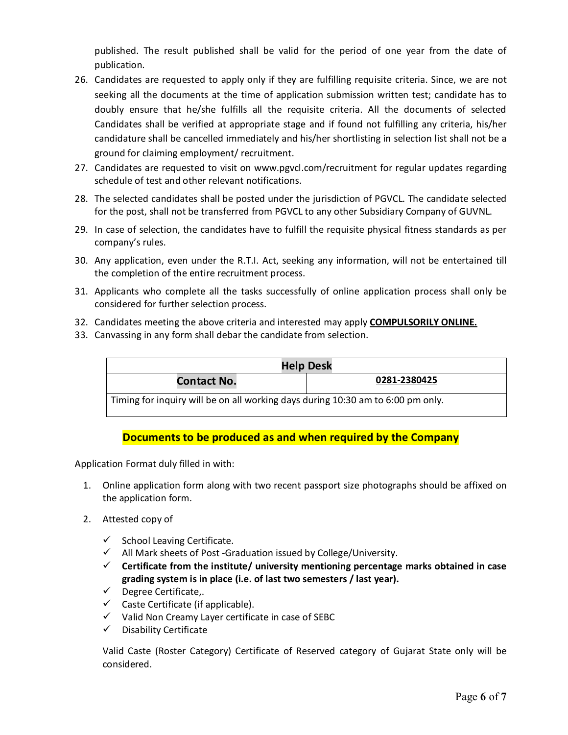published. The result published shall be valid for the period of one year from the date of publication.

- 26. Candidates are requested to apply only if they are fulfilling requisite criteria. Since, we are not seeking all the documents at the time of application submission written test; candidate has to doubly ensure that he/she fulfills all the requisite criteria. All the documents of selected Candidates shall be verified at appropriate stage and if found not fulfilling any criteria, his/her candidature shall be cancelled immediately and his/her shortlisting in selection list shall not be a ground for claiming employment/ recruitment.
- 27. Candidates are requested to visit on [www.pgvcl.com/recruitment](http://www.pgvcl.com/recruitment) for regular updates regarding schedule of test and other relevant notifications.
- 28. The selected candidates shall be posted under the jurisdiction of PGVCL. The candidate selected for the post, shall not be transferred from PGVCL to any other Subsidiary Company of GUVNL.
- 29. In case of selection, the candidates have to fulfill the requisite physical fitness standards as per company's rules.
- 30. Any application, even under the R.T.I. Act, seeking any information, will not be entertained till the completion of the entire recruitment process.
- 31. Applicants who complete all the tasks successfully of online application process shall only be considered for further selection process.
- 32. Candidates meeting the above criteria and interested may apply **COMPULSORILY ONLINE.**
- 33. Canvassing in any form shall debar the candidate from selection.

| <b>Help Desk</b>                                                                |              |  |
|---------------------------------------------------------------------------------|--------------|--|
| <b>Contact No.</b>                                                              | 0281-2380425 |  |
| Timing for inquiry will be on all working days during 10:30 am to 6:00 pm only. |              |  |

# **Documents to be produced as and when required by the Company**

Application Format duly filled in with:

- 1. Online application form along with two recent passport size photographs should be affixed on the application form.
- 2. Attested copy of
	- $\checkmark$  School Leaving Certificate.
	- All Mark sheets of Post -Graduation issued by College/University.
	- **Certificate from the institute/ university mentioning percentage marks obtained in case grading system is in place (i.e. of last two semesters / last year).**
	- $\checkmark$  Degree Certificate,.
	- $\checkmark$  Caste Certificate (if applicable).
	- $\checkmark$  Valid Non Creamy Layer certificate in case of SEBC
	- $\checkmark$  Disability Certificate

Valid Caste (Roster Category) Certificate of Reserved category of Gujarat State only will be considered.